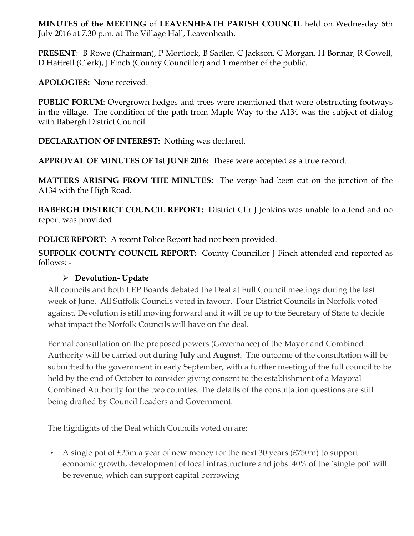**MINUTES of the MEETING** of **LEAVENHEATH PARISH COUNCIL** held on Wednesday 6th July 2016 at 7.30 p.m. at The Village Hall, Leavenheath.

**PRESENT**: B Rowe (Chairman), P Mortlock, B Sadler, C Jackson, C Morgan, H Bonnar, R Cowell, D Hattrell (Clerk), J Finch (County Councillor) and 1 member of the public.

**APOLOGIES:** None received.

**PUBLIC FORUM:** Overgrown hedges and trees were mentioned that were obstructing footways in the village. The condition of the path from Maple Way to the A134 was the subject of dialog with Babergh District Council.

**DECLARATION OF INTEREST:** Nothing was declared.

**APPROVAL OF MINUTES OF 1st JUNE 2016:** These were accepted as a true record.

**MATTERS ARISING FROM THE MINUTES:** The verge had been cut on the junction of the A134 with the High Road.

**BABERGH DISTRICT COUNCIL REPORT:** District Cllr J Jenkins was unable to attend and no report was provided.

**POLICE REPORT**: A recent Police Report had not been provided.

**SUFFOLK COUNTY COUNCIL REPORT:** County Councillor J Finch attended and reported as follows: -

# Ø **Devolution- Update**

All councils and both LEP Boards debated the Deal at Full Council meetings during the last week of June. All Suffolk Councils voted in favour. Four District Councils in Norfolk voted against. Devolution is still moving forward and it will be up to the Secretary of State to decide what impact the Norfolk Councils will have on the deal.

Formal consultation on the proposed powers (Governance) of the Mayor and Combined Authority will be carried out during **July** and **August.** The outcome of the consultation will be submitted to the government in early September, with a further meeting of the full council to be held by the end of October to consider giving consent to the establishment of a Mayoral Combined Authority for the two counties. The details of the consultation questions are still being drafted by Council Leaders and Government.

The highlights of the Deal which Councils voted on are:

• A single pot of  $\text{\pounds}25m$  a year of new money for the next 30 years ( $\text{\pounds}750m$ ) to support economic growth, development of local infrastructure and jobs. 40% of the 'single pot' will be revenue, which can support capital borrowing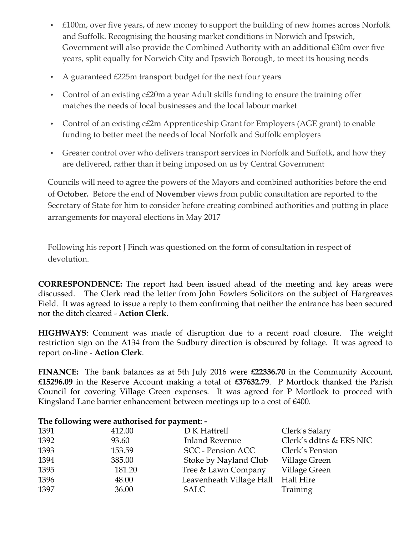- £100m, over five years, of new money to support the building of new homes across Norfolk and Suffolk. Recognising the housing market conditions in Norwich and Ipswich, Government will also provide the Combined Authority with an additional £30m over five years, split equally for Norwich City and Ipswich Borough, to meet its housing needs
- A guaranteed £225m transport budget for the next four years
- Control of an existing c£20m a year Adult skills funding to ensure the training offer matches the needs of local businesses and the local labour market
- Control of an existing c£2m Apprenticeship Grant for Employers (AGE grant) to enable funding to better meet the needs of local Norfolk and Suffolk employers
- Greater control over who delivers transport services in Norfolk and Suffolk, and how they are delivered, rather than it being imposed on us by Central Government

Councils will need to agree the powers of the Mayors and combined authorities before the end of **October.** Before the end of **November** views from public consultation are reported to the Secretary of State for him to consider before creating combined authorities and putting in place arrangements for mayoral elections in May 2017

Following his report J Finch was questioned on the form of consultation in respect of devolution.

**CORRESPONDENCE:** The report had been issued ahead of the meeting and key areas were discussed. The Clerk read the letter from John Fowlers Solicitors on the subject of Hargreaves Field. It was agreed to issue a reply to them confirming that neither the entrance has been secured nor the ditch cleared - **Action Clerk**.

**HIGHWAYS**: Comment was made of disruption due to a recent road closure. The weight restriction sign on the A134 from the Sudbury direction is obscured by foliage. It was agreed to report on-line - **Action Clerk**.

**FINANCE:** The bank balances as at 5th July 2016 were **£22336.70** in the Community Account, **£15296.09** in the Reserve Account making a total of **£37632.79**. P Mortlock thanked the Parish Council for covering Village Green expenses. It was agreed for P Mortlock to proceed with Kingsland Lane barrier enhancement between meetings up to a cost of £400.

## 1391 412.00 D K Hattrell Clerk's Salary 1392 93.60 Inland Revenue Clerk's ddtns & ERS NIC 1393 153.59 SCC - Pension ACC Clerk's Pension 1394 385.00 Stoke by Nayland Club Village Green 1395 181.20 Tree & Lawn Company Village Green 1396 48.00 Leavenheath Village Hall Hall Hire 1397 36.00 SALC Training

#### **The following were authorised for payment: -**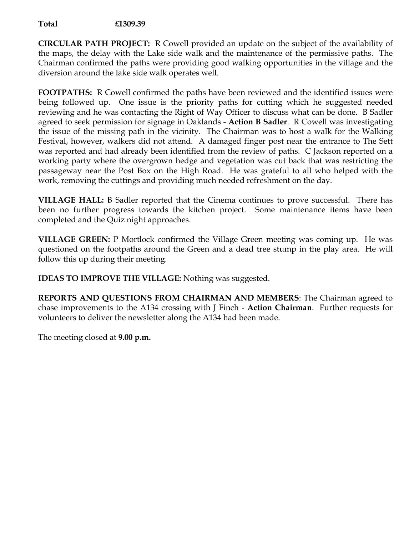### **Total £1309.39**

**CIRCULAR PATH PROJECT:** R Cowell provided an update on the subject of the availability of the maps, the delay with the Lake side walk and the maintenance of the permissive paths. The Chairman confirmed the paths were providing good walking opportunities in the village and the diversion around the lake side walk operates well.

**FOOTPATHS:** R Cowell confirmed the paths have been reviewed and the identified issues were being followed up. One issue is the priority paths for cutting which he suggested needed reviewing and he was contacting the Right of Way Officer to discuss what can be done. B Sadler agreed to seek permission for signage in Oaklands - **Action B Sadler**. R Cowell was investigating the issue of the missing path in the vicinity. The Chairman was to host a walk for the Walking Festival, however, walkers did not attend. A damaged finger post near the entrance to The Sett was reported and had already been identified from the review of paths. C Jackson reported on a working party where the overgrown hedge and vegetation was cut back that was restricting the passageway near the Post Box on the High Road. He was grateful to all who helped with the work, removing the cuttings and providing much needed refreshment on the day.

**VILLAGE HALL:** B Sadler reported that the Cinema continues to prove successful. There has been no further progress towards the kitchen project. Some maintenance items have been completed and the Quiz night approaches.

**VILLAGE GREEN:** P Mortlock confirmed the Village Green meeting was coming up. He was questioned on the footpaths around the Green and a dead tree stump in the play area. He will follow this up during their meeting.

**IDEAS TO IMPROVE THE VILLAGE:** Nothing was suggested.

**REPORTS AND QUESTIONS FROM CHAIRMAN AND MEMBERS**: The Chairman agreed to chase improvements to the A134 crossing with J Finch - **Action Chairman**. Further requests for volunteers to deliver the newsletter along the A134 had been made.

The meeting closed at **9.00 p.m.**